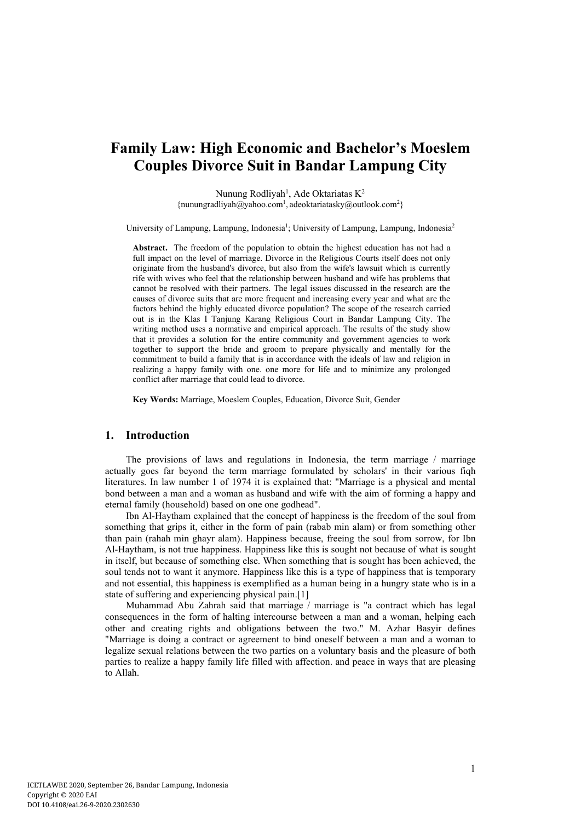# **Family Law: High Economic and Bachelor's Moeslem Couples Divorce Suit in Bandar Lampung City**

Nunung Rodliyah<sup>1</sup>, Ade Oktariatas K<sup>2</sup> {nunungradliyah@yahoo.com1, adeoktariatasky@outlook.com2}

University of Lampung, Lampung, Indonesia<sup>1</sup>; University of Lampung, Lampung, Indonesia<sup>2</sup>

**Abstract.** The freedom of the population to obtain the highest education has not had a full impact on the level of marriage. Divorce in the Religious Courts itself does not only originate from the husband's divorce, but also from the wife's lawsuit which is currently rife with wives who feel that the relationship between husband and wife has problems that cannot be resolved with their partners. The legal issues discussed in the research are the causes of divorce suits that are more frequent and increasing every year and what are the factors behind the highly educated divorce population? The scope of the research carried out is in the Klas I Tanjung Karang Religious Court in Bandar Lampung City. The writing method uses a normative and empirical approach. The results of the study show that it provides a solution for the entire community and government agencies to work together to support the bride and groom to prepare physically and mentally for the commitment to build a family that is in accordance with the ideals of law and religion in realizing a happy family with one. one more for life and to minimize any prolonged conflict after marriage that could lead to divorce.

**Key Words:** Marriage, Moeslem Couples, Education, Divorce Suit, Gender

#### **1. Introduction**

The provisions of laws and regulations in Indonesia, the term marriage / marriage actually goes far beyond the term marriage formulated by scholars' in their various fiqh literatures. In law number 1 of 1974 it is explained that: "Marriage is a physical and mental bond between a man and a woman as husband and wife with the aim of forming a happy and eternal family (household) based on one one godhead".

Ibn Al-Haytham explained that the concept of happiness is the freedom of the soul from something that grips it, either in the form of pain (rabab min alam) or from something other than pain (rahah min ghayr alam). Happiness because, freeing the soul from sorrow, for Ibn Al-Haytham, is not true happiness. Happiness like this is sought not because of what is sought in itself, but because of something else. When something that is sought has been achieved, the soul tends not to want it anymore. Happiness like this is a type of happiness that is temporary and not essential, this happiness is exemplified as a human being in a hungry state who is in a state of suffering and experiencing physical pain.[1]

Muhammad Abu Zahrah said that marriage / marriage is "a contract which has legal consequences in the form of halting intercourse between a man and a woman, helping each other and creating rights and obligations between the two." M. Azhar Basyir defines "Marriage is doing a contract or agreement to bind oneself between a man and a woman to legalize sexual relations between the two parties on a voluntary basis and the pleasure of both parties to realize a happy family life filled with affection. and peace in ways that are pleasing to Allah.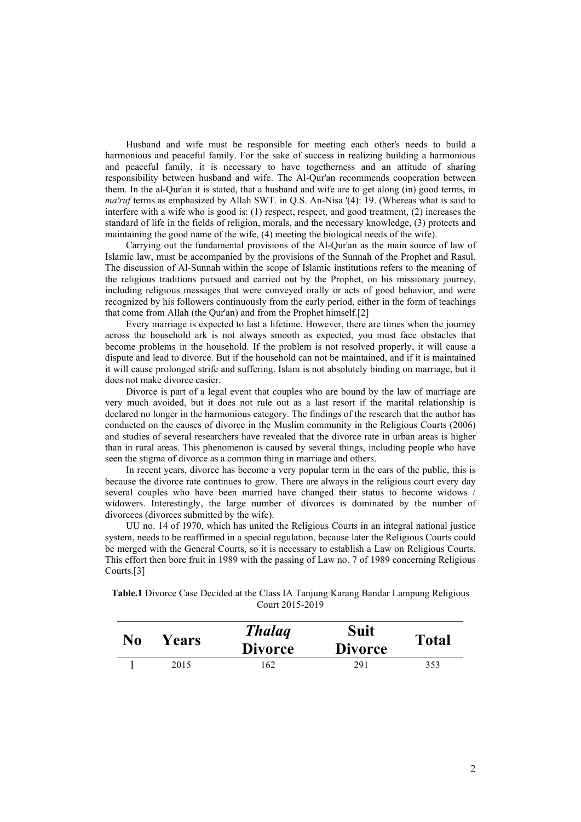Husband and wife must be responsible for meeting each other's needs to build a harmonious and peaceful family. For the sake of success in realizing building a harmonious and peaceful family, it is necessary to have togetherness and an attitude of sharing responsibility between husband and wife. The Al-Qur'an recommends cooperation between them. In the al-Qur'an it is stated, that a husband and wife are to get along (in) good terms, in *ma'ruf* terms as emphasized by Allah SWT. in Q.S. An-Nisa '(4): 19. (Whereas what is said to interfere with a wife who is good is: (1) respect, respect, and good treatment, (2) increases the standard of life in the fields of religion, morals, and the necessary knowledge, (3) protects and maintaining the good name of the wife, (4) meeting the biological needs of the wife).

Carrying out the fundamental provisions of the Al-Qur'an as the main source of law of Islamic law, must be accompanied by the provisions of the Sunnah of the Prophet and Rasul. The discussion of Al-Sunnah within the scope of Islamic institutions refers to the meaning of the religious traditions pursued and carried out by the Prophet, on his missionary journey, including religious messages that were conveyed orally or acts of good behavior, and were recognized by his followers continuously from the early period, either in the form of teachings that come from Allah (the Qur'an) and from the Prophet himself.[2]

Every marriage is expected to last a lifetime. However, there are times when the journey across the household ark is not always smooth as expected, you must face obstacles that become problems in the household. If the problem is not resolved properly, it will cause a dispute and lead to divorce. But if the household can not be maintained, and if it is maintained it will cause prolonged strife and suffering. Islam is not absolutely binding on marriage, but it does not make divorce easier.

Divorce is part of a legal event that couples who are bound by the law of marriage are very much avoided, but it does not rule out as a last resort if the marital relationship is declared no longer in the harmonious category. The findings of the research that the author has conducted on the causes of divorce in the Muslim community in the Religious Courts (2006) and studies of several researchers have revealed that the divorce rate in urban areas is higher than in rural areas. This phenomenon is caused by several things, including people who have seen the stigma of divorce as a common thing in marriage and others.

In recent years, divorce has become a very popular term in the ears of the public, this is because the divorce rate continues to grow. There are always in the religious court every day several couples who have been married have changed their status to become widows / widowers. Interestingly, the large number of divorces is dominated by the number of divorcees (divorces submitted by the wife).

UU no. 14 of 1970, which has united the Religious Courts in an integral national justice system, needs to be reaffirmed in a special regulation, because later the Religious Courts could be merged with the General Courts, so it is necessary to establish a Law on Religious Courts. This effort then bore fruit in 1989 with the passing of Law no. 7 of 1989 concerning Religious Courts.[3]

**Table.1** Divorce Case Decided at the Class IA Tanjung Karang Bandar Lampung Religious Court 2015-2019

| No | Years | <b>Thalaq</b><br><b>Divorce</b> | <b>Suit</b><br><b>Divorce</b> | <b>Total</b> |
|----|-------|---------------------------------|-------------------------------|--------------|
|    | 2015  | 162                             | 291                           | 353          |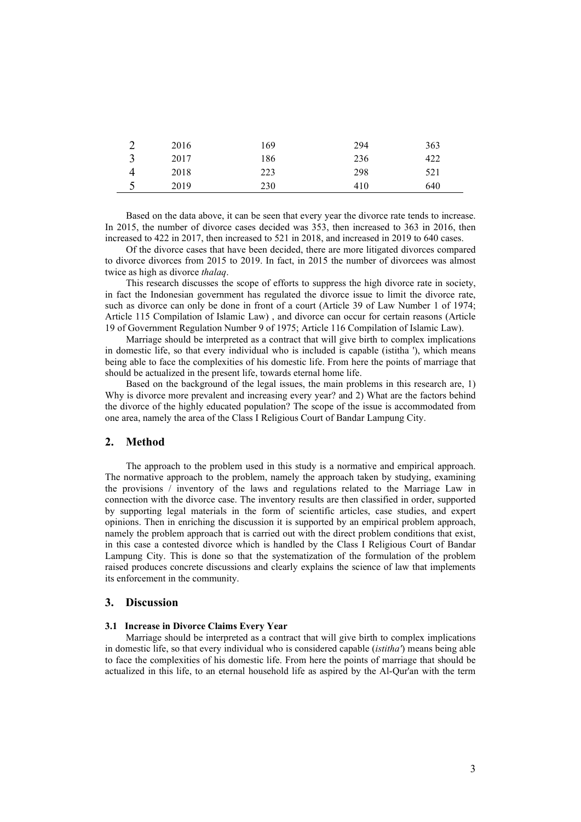|   | 2016 | 169 | 294 | 363 |
|---|------|-----|-----|-----|
|   | 2017 | 186 | 236 | 422 |
|   | 2018 | 223 | 298 | 521 |
| ັ | 2019 | 230 | 410 | 640 |

Based on the data above, it can be seen that every year the divorce rate tends to increase. In 2015, the number of divorce cases decided was 353, then increased to 363 in 2016, then increased to 422 in 2017, then increased to 521 in 2018, and increased in 2019 to 640 cases.

Of the divorce cases that have been decided, there are more litigated divorces compared to divorce divorces from 2015 to 2019. In fact, in 2015 the number of divorcees was almost twice as high as divorce *thalaq*.

This research discusses the scope of efforts to suppress the high divorce rate in society, in fact the Indonesian government has regulated the divorce issue to limit the divorce rate, such as divorce can only be done in front of a court (Article 39 of Law Number 1 of 1974; Article 115 Compilation of Islamic Law) , and divorce can occur for certain reasons (Article 19 of Government Regulation Number 9 of 1975; Article 116 Compilation of Islamic Law).

Marriage should be interpreted as a contract that will give birth to complex implications in domestic life, so that every individual who is included is capable (istitha '), which means being able to face the complexities of his domestic life. From here the points of marriage that should be actualized in the present life, towards eternal home life.

Based on the background of the legal issues, the main problems in this research are, 1) Why is divorce more prevalent and increasing every year? and 2) What are the factors behind the divorce of the highly educated population? The scope of the issue is accommodated from one area, namely the area of the Class I Religious Court of Bandar Lampung City.

## **2. Method**

The approach to the problem used in this study is a normative and empirical approach. The normative approach to the problem, namely the approach taken by studying, examining the provisions / inventory of the laws and regulations related to the Marriage Law in connection with the divorce case. The inventory results are then classified in order, supported by supporting legal materials in the form of scientific articles, case studies, and expert opinions. Then in enriching the discussion it is supported by an empirical problem approach, namely the problem approach that is carried out with the direct problem conditions that exist, in this case a contested divorce which is handled by the Class I Religious Court of Bandar Lampung City. This is done so that the systematization of the formulation of the problem raised produces concrete discussions and clearly explains the science of law that implements its enforcement in the community.

#### **3. Discussion**

#### **3.1 Increase in Divorce Claims Every Year**

Marriage should be interpreted as a contract that will give birth to complex implications in domestic life, so that every individual who is considered capable (*istitha'*) means being able to face the complexities of his domestic life. From here the points of marriage that should be actualized in this life, to an eternal household life as aspired by the Al-Qur'an with the term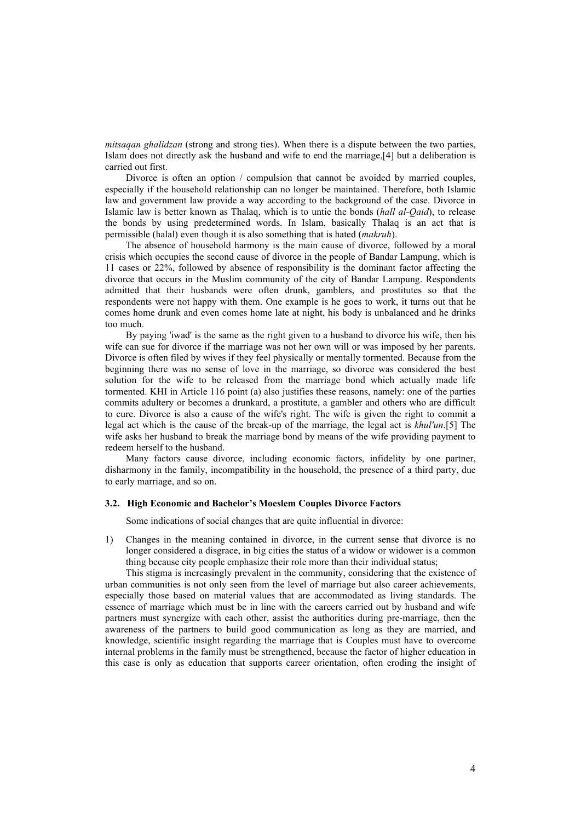*mitsaqan ghalidzan* (strong and strong ties). When there is a dispute between the two parties, Islam does not directly ask the husband and wife to end the marriage,[4] but a deliberation is carried out first.

Divorce is often an option / compulsion that cannot be avoided by married couples, especially if the household relationship can no longer be maintained. Therefore, both Islamic law and government law provide a way according to the background of the case. Divorce in Islamic law is better known as Thalaq, which is to untie the bonds (*hall al-Qaid*), to release the bonds by using predetermined words. In Islam, basically Thalaq is an act that is permissible (halal) even though it is also something that is hated (*makruh*).

The absence of household harmony is the main cause of divorce, followed by a moral crisis which occupies the second cause of divorce in the people of Bandar Lampung, which is 11 cases or 22%, followed by absence of responsibility is the dominant factor affecting the divorce that occurs in the Muslim community of the city of Bandar Lampung. Respondents admitted that their husbands were often drunk, gamblers, and prostitutes so that the respondents were not happy with them. One example is he goes to work, it turns out that he comes home drunk and even comes home late at night, his body is unbalanced and he drinks too much.

By paying 'iwad' is the same as the right given to a husband to divorce his wife, then his wife can sue for divorce if the marriage was not her own will or was imposed by her parents. Divorce is often filed by wives if they feel physically or mentally tormented. Because from the beginning there was no sense of love in the marriage, so divorce was considered the best solution for the wife to be released from the marriage bond which actually made life tormented. KHI in Article 116 point (a) also justifies these reasons, namely: one of the parties commits adultery or becomes a drunkard, a prostitute, a gambler and others who are difficult to cure. Divorce is also a cause of the wife's right. The wife is given the right to commit a legal act which is the cause of the break-up of the marriage, the legal act is *khul'un*.[5] The wife asks her husband to break the marriage bond by means of the wife providing payment to redeem herself to the husband.

Many factors cause divorce, including economic factors, infidelity by one partner, disharmony in the family, incompatibility in the household, the presence of a third party, due to early marriage, and so on.

#### **3.2. High Economic and Bachelor's Moeslem Couples Divorce Factors**

Some indications of social changes that are quite influential in divorce:

1) Changes in the meaning contained in divorce, in the current sense that divorce is no longer considered a disgrace, in big cities the status of a widow or widower is a common thing because city people emphasize their role more than their individual status;

This stigma is increasingly prevalent in the community, considering that the existence of urban communities is not only seen from the level of marriage but also career achievements, especially those based on material values that are accommodated as living standards. The essence of marriage which must be in line with the careers carried out by husband and wife partners must synergize with each other, assist the authorities during pre-marriage, then the awareness of the partners to build good communication as long as they are married, and knowledge, scientific insight regarding the marriage that is Couples must have to overcome internal problems in the family must be strengthened, because the factor of higher education in this case is only as education that supports career orientation, often eroding the insight of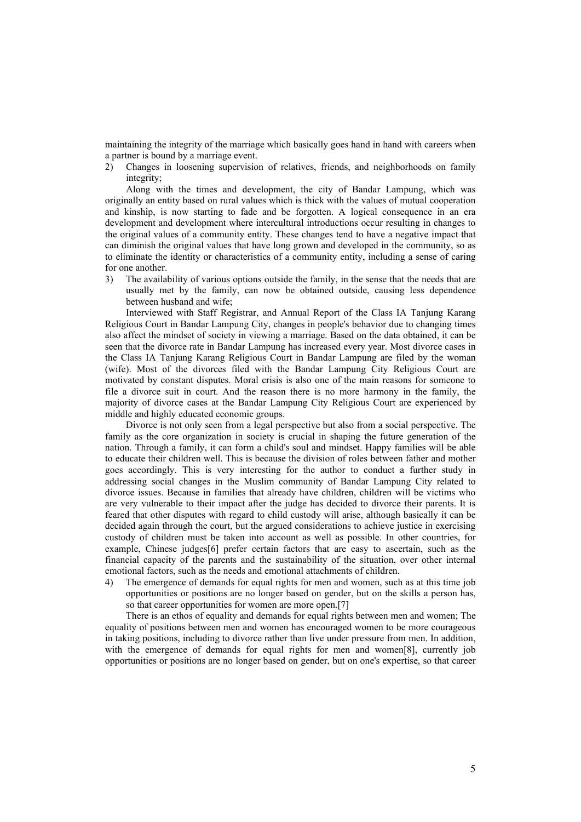maintaining the integrity of the marriage which basically goes hand in hand with careers when a partner is bound by a marriage event.

2) Changes in loosening supervision of relatives, friends, and neighborhoods on family integrity;

Along with the times and development, the city of Bandar Lampung, which was originally an entity based on rural values which is thick with the values of mutual cooperation and kinship, is now starting to fade and be forgotten. A logical consequence in an era development and development where intercultural introductions occur resulting in changes to the original values of a community entity. These changes tend to have a negative impact that can diminish the original values that have long grown and developed in the community, so as to eliminate the identity or characteristics of a community entity, including a sense of caring for one another.

3) The availability of various options outside the family, in the sense that the needs that are usually met by the family, can now be obtained outside, causing less dependence between husband and wife;

Interviewed with Staff Registrar, and Annual Report of the Class IA Tanjung Karang Religious Court in Bandar Lampung City, changes in people's behavior due to changing times also affect the mindset of society in viewing a marriage. Based on the data obtained, it can be seen that the divorce rate in Bandar Lampung has increased every year. Most divorce cases in the Class IA Tanjung Karang Religious Court in Bandar Lampung are filed by the woman (wife). Most of the divorces filed with the Bandar Lampung City Religious Court are motivated by constant disputes. Moral crisis is also one of the main reasons for someone to file a divorce suit in court. And the reason there is no more harmony in the family, the majority of divorce cases at the Bandar Lampung City Religious Court are experienced by middle and highly educated economic groups.

Divorce is not only seen from a legal perspective but also from a social perspective. The family as the core organization in society is crucial in shaping the future generation of the nation. Through a family, it can form a child's soul and mindset. Happy families will be able to educate their children well. This is because the division of roles between father and mother goes accordingly. This is very interesting for the author to conduct a further study in addressing social changes in the Muslim community of Bandar Lampung City related to divorce issues. Because in families that already have children, children will be victims who are very vulnerable to their impact after the judge has decided to divorce their parents. It is feared that other disputes with regard to child custody will arise, although basically it can be decided again through the court, but the argued considerations to achieve justice in exercising custody of children must be taken into account as well as possible. In other countries, for example, Chinese judges[6] prefer certain factors that are easy to ascertain, such as the financial capacity of the parents and the sustainability of the situation, over other internal emotional factors, such as the needs and emotional attachments of children.

4) The emergence of demands for equal rights for men and women, such as at this time job opportunities or positions are no longer based on gender, but on the skills a person has, so that career opportunities for women are more open.[7]

There is an ethos of equality and demands for equal rights between men and women; The equality of positions between men and women has encouraged women to be more courageous in taking positions, including to divorce rather than live under pressure from men. In addition, with the emergence of demands for equal rights for men and women[8], currently job opportunities or positions are no longer based on gender, but on one's expertise, so that career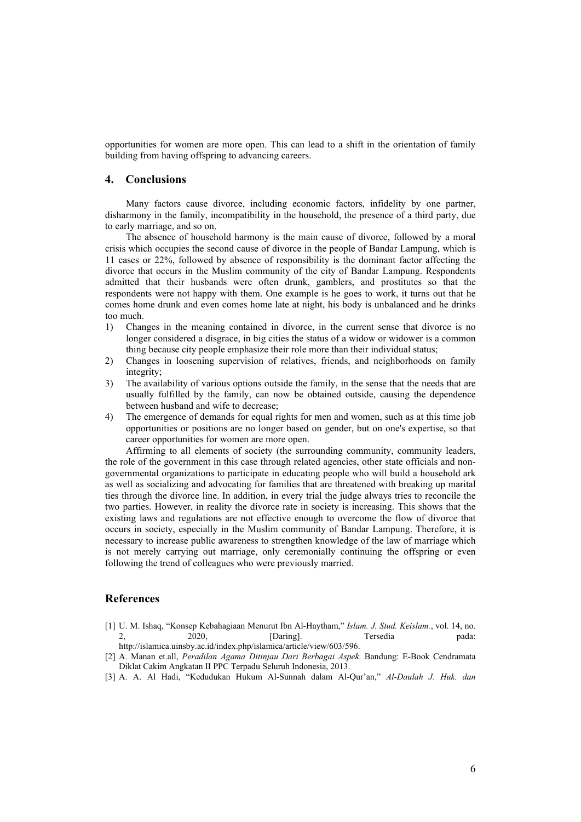opportunities for women are more open. This can lead to a shift in the orientation of family building from having offspring to advancing careers.

#### **4. Conclusions**

Many factors cause divorce, including economic factors, infidelity by one partner, disharmony in the family, incompatibility in the household, the presence of a third party, due to early marriage, and so on.

The absence of household harmony is the main cause of divorce, followed by a moral crisis which occupies the second cause of divorce in the people of Bandar Lampung, which is 11 cases or 22%, followed by absence of responsibility is the dominant factor affecting the divorce that occurs in the Muslim community of the city of Bandar Lampung. Respondents admitted that their husbands were often drunk, gamblers, and prostitutes so that the respondents were not happy with them. One example is he goes to work, it turns out that he comes home drunk and even comes home late at night, his body is unbalanced and he drinks too much.

- 1) Changes in the meaning contained in divorce, in the current sense that divorce is no longer considered a disgrace, in big cities the status of a widow or widower is a common thing because city people emphasize their role more than their individual status;
- 2) Changes in loosening supervision of relatives, friends, and neighborhoods on family integrity;
- 3) The availability of various options outside the family, in the sense that the needs that are usually fulfilled by the family, can now be obtained outside, causing the dependence between husband and wife to decrease;
- 4) The emergence of demands for equal rights for men and women, such as at this time job opportunities or positions are no longer based on gender, but on one's expertise, so that career opportunities for women are more open.

Affirming to all elements of society (the surrounding community, community leaders, the role of the government in this case through related agencies, other state officials and nongovernmental organizations to participate in educating people who will build a household ark as well as socializing and advocating for families that are threatened with breaking up marital ties through the divorce line. In addition, in every trial the judge always tries to reconcile the two parties. However, in reality the divorce rate in society is increasing. This shows that the existing laws and regulations are not effective enough to overcome the flow of divorce that occurs in society, especially in the Muslim community of Bandar Lampung. Therefore, it is necessary to increase public awareness to strengthen knowledge of the law of marriage which is not merely carrying out marriage, only ceremonially continuing the offspring or even following the trend of colleagues who were previously married.

# **References**

- [1] U. M. Ishaq, "Konsep Kebahagiaan Menurut Ibn Al-Haytham," *Islam. J. Stud. Keislam.*, vol. 14, no. 2, 2020, [Daring]. Tersedia pada: http://islamica.uinsby.ac.id/index.php/islamica/article/view/603/596.
- [2] A. Manan et.all, *Peradilan Agama Ditinjau Dari Berbagai Aspek*. Bandung: E-Book Cendramata Diklat Cakim Angkatan II PPC Terpadu Seluruh Indonesia, 2013.
- [3] A. A. Al Hadi, "Kedudukan Hukum Al-Sunnah dalam Al-Qur'an," *Al-Daulah J. Huk. dan*